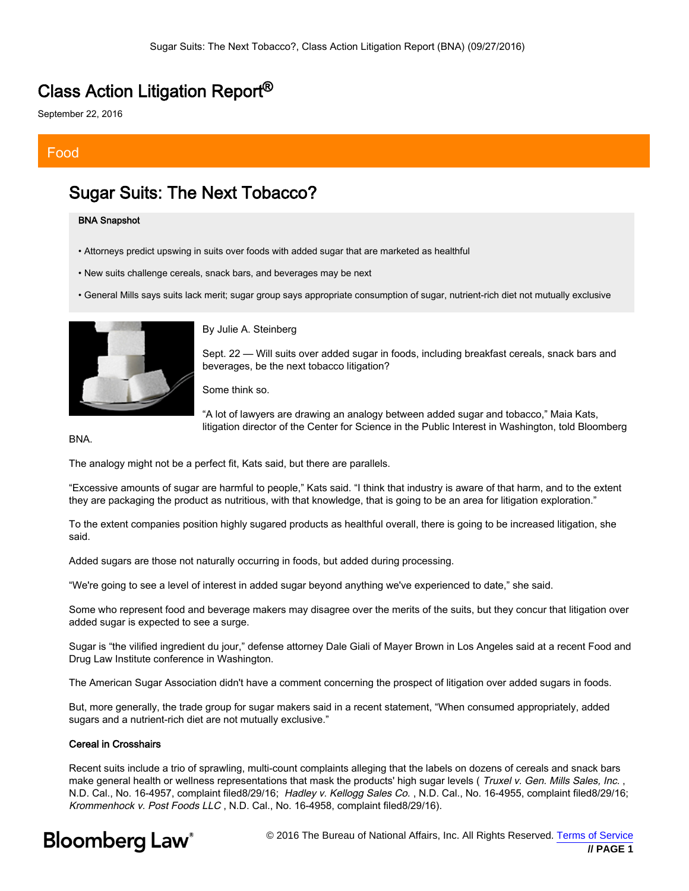### Class Action Litigation Report®

September 22, 2016

### Food

### Sugar Suits: The Next Tobacco?

#### BNA Snapshot

- Attorneys predict upswing in suits over foods with added sugar that are marketed as healthful
- New suits challenge cereals, snack bars, and beverages may be next
- General Mills says suits lack merit; sugar group says appropriate consumption of sugar, nutrient-rich diet not mutually exclusive



By Julie A. Steinberg

Sept. 22 — Will suits over added sugar in foods, including breakfast cereals, snack bars and beverages, be the next tobacco litigation?

Some think so.



BNA.

The analogy might not be a perfect fit, Kats said, but there are parallels.

"Excessive amounts of sugar are harmful to people," Kats said. "I think that industry is aware of that harm, and to the extent they are packaging the product as nutritious, with that knowledge, that is going to be an area for litigation exploration."

To the extent companies position highly sugared products as healthful overall, there is going to be increased litigation, she said.

Added sugars are those not naturally occurring in foods, but added during processing.

"We're going to see a level of interest in added sugar beyond anything we've experienced to date," she said.

Some who represent food and beverage makers may disagree over the merits of the suits, but they concur that litigation over added sugar is expected to see a surge.

Sugar is "the vilified ingredient du jour," defense attorney Dale Giali of Mayer Brown in Los Angeles said at a recent Food and Drug Law Institute conference in Washington.

The American Sugar Association didn't have a comment concerning the prospect of litigation over added sugars in foods.

But, more generally, the trade group for sugar makers said in a recent statement, "When consumed appropriately, added sugars and a nutrient-rich diet are not mutually exclusive."

#### Cereal in Crosshairs

Recent suits include a trio of sprawling, multi-count complaints alleging that the labels on dozens of cereals and snack bars make general health or wellness representations that mask the products' high sugar levels (Truxel v. Gen. Mills Sales, Inc., N.D. Cal., No. 16-4957, complaint filed8/29/16; Hadley v. Kellogg Sales Co., N.D. Cal., No. 16-4955, complaint filed8/29/16; Krommenhock v. Post Foods LLC , N.D. Cal., No. 16-4958, complaint filed8/29/16).

# **Bloomberg Law**<sup>®</sup>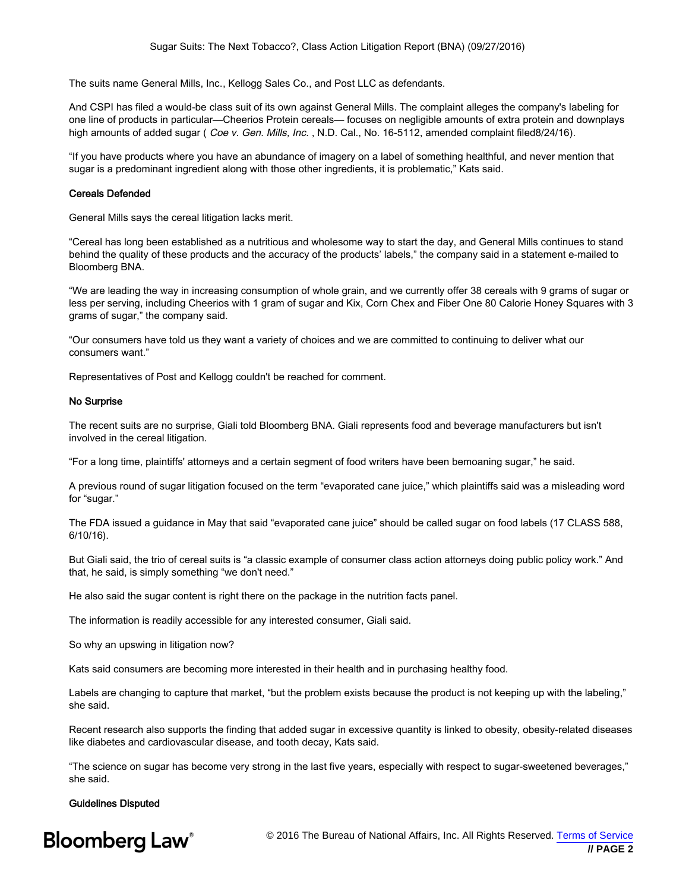The suits name General Mills, Inc., Kellogg Sales Co., and Post LLC as defendants.

And CSPI has filed a would-be class suit of its own against General Mills. The complaint alleges the company's labeling for one line of products in particular—Cheerios Protein cereals— focuses on negligible amounts of extra protein and downplays high amounts of added sugar (*Coe v. Gen. Mills, Inc.*, N.D. Cal., No. 16-5112, amended complaint filed8/24/16).

"If you have products where you have an abundance of imagery on a label of something healthful, and never mention that sugar is a predominant ingredient along with those other ingredients, it is problematic," Kats said.

#### Cereals Defended

General Mills says the cereal litigation lacks merit.

"Cereal has long been established as a nutritious and wholesome way to start the day, and General Mills continues to stand behind the quality of these products and the accuracy of the products' labels," the company said in a statement e-mailed to Bloomberg BNA.

"We are leading the way in increasing consumption of whole grain, and we currently offer 38 cereals with 9 grams of sugar or less per serving, including Cheerios with 1 gram of sugar and Kix, Corn Chex and Fiber One 80 Calorie Honey Squares with 3 grams of sugar," the company said.

"Our consumers have told us they want a variety of choices and we are committed to continuing to deliver what our consumers want."

Representatives of Post and Kellogg couldn't be reached for comment.

#### No Surprise

The recent suits are no surprise, Giali told Bloomberg BNA. Giali represents food and beverage manufacturers but isn't involved in the cereal litigation.

"For a long time, plaintiffs' attorneys and a certain segment of food writers have been bemoaning sugar," he said.

A previous round of sugar litigation focused on the term "evaporated cane juice," which plaintiffs said was a misleading word for "sugar."

The FDA issued a guidance in May that said "evaporated cane juice" should be called sugar on food labels (17 CLASS 588, 6/10/16).

But Giali said, the trio of cereal suits is "a classic example of consumer class action attorneys doing public policy work." And that, he said, is simply something "we don't need."

He also said the sugar content is right there on the package in the nutrition facts panel.

The information is readily accessible for any interested consumer, Giali said.

So why an upswing in litigation now?

Kats said consumers are becoming more interested in their health and in purchasing healthy food.

Labels are changing to capture that market, "but the problem exists because the product is not keeping up with the labeling," she said.

Recent research also supports the finding that added sugar in excessive quantity is linked to obesity, obesity-related diseases like diabetes and cardiovascular disease, and tooth decay, Kats said.

"The science on sugar has become very strong in the last five years, especially with respect to sugar-sweetened beverages," she said.

#### Guidelines Disputed

# **Bloomberg Law**<sup>®</sup>